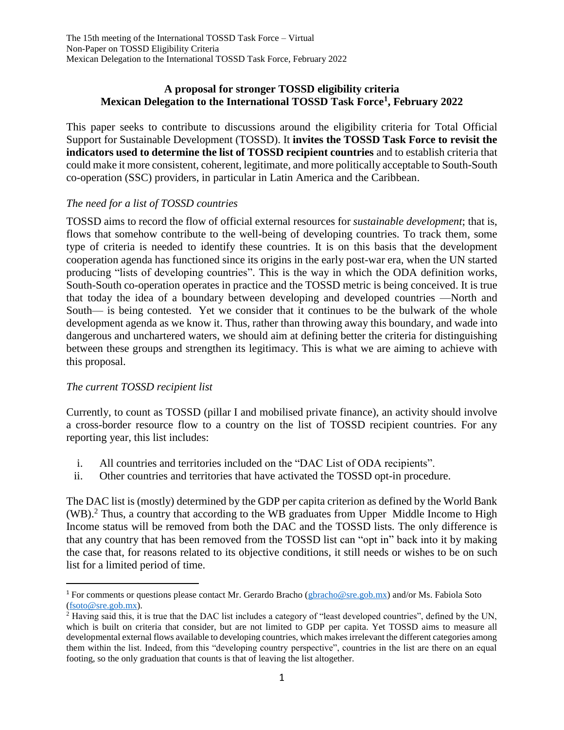# **A proposal for stronger TOSSD eligibility criteria Mexican Delegation to the International TOSSD Task Force<sup>1</sup> , February 2022**

This paper seeks to contribute to discussions around the eligibility criteria for Total Official Support for Sustainable Development (TOSSD). It **invites the TOSSD Task Force to revisit the indicators used to determine the list of TOSSD recipient countries** and to establish criteria that could make it more consistent, coherent, legitimate, and more politically acceptable to South-South co-operation (SSC) providers, in particular in Latin America and the Caribbean.

# *The need for a list of TOSSD countries*

TOSSD aims to record the flow of official external resources for *sustainable development*; that is, flows that somehow contribute to the well-being of developing countries. To track them, some type of criteria is needed to identify these countries. It is on this basis that the development cooperation agenda has functioned since its origins in the early post-war era, when the UN started producing "lists of developing countries". This is the way in which the ODA definition works, South-South co-operation operates in practice and the TOSSD metric is being conceived. It is true that today the idea of a boundary between developing and developed countries —North and South— is being contested. Yet we consider that it continues to be the bulwark of the whole development agenda as we know it. Thus, rather than throwing away this boundary, and wade into dangerous and unchartered waters, we should aim at defining better the criteria for distinguishing between these groups and strengthen its legitimacy. This is what we are aiming to achieve with this proposal.

## *The current TOSSD recipient list*

 $\overline{a}$ 

Currently, to count as TOSSD (pillar I and mobilised private finance), an activity should involve a cross-border resource flow to a country on the list of TOSSD recipient countries. For any reporting year, this list includes:

- i. All countries and territories included on the "DAC List of ODA recipients".
- ii. Other countries and territories that have activated the TOSSD opt-in procedure.

The DAC list is (mostly) determined by the GDP per capita criterion as defined by the World Bank (WB).<sup>2</sup> Thus, a country that according to the WB graduates from Upper Middle Income to High Income status will be removed from both the DAC and the TOSSD lists. The only difference is that any country that has been removed from the TOSSD list can "opt in" back into it by making the case that, for reasons related to its objective conditions, it still needs or wishes to be on such list for a limited period of time.

<sup>&</sup>lt;sup>1</sup> For comments or questions please contact Mr. Gerardo Bracho [\(gbracho@sre.gob.mx\)](mailto:gbracho@sre.gob.mx) and/or Ms. Fabiola Soto [\(fsoto@sre.gob.mx\)](mailto:fsoto@sre.gob.mx).

<sup>2</sup> Having said this, it is true that the DAC list includes a category of "least developed countries", defined by the UN, which is built on criteria that consider, but are not limited to GDP per capita. Yet TOSSD aims to measure all developmental external flows available to developing countries, which makes irrelevant the different categories among them within the list. Indeed, from this "developing country perspective", countries in the list are there on an equal footing, so the only graduation that counts is that of leaving the list altogether.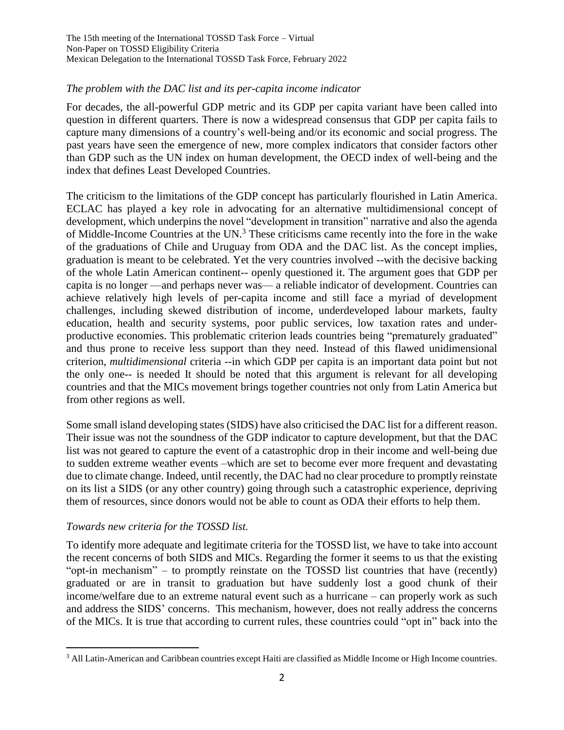The 15th meeting of the International TOSSD Task Force – Virtual Non-Paper on TOSSD Eligibility Criteria Mexican Delegation to the International TOSSD Task Force, February 2022

## *The problem with the DAC list and its per-capita income indicator*

For decades, the all-powerful GDP metric and its GDP per capita variant have been called into question in different quarters. There is now a widespread consensus that GDP per capita fails to capture many dimensions of a country's well-being and/or its economic and social progress. The past years have seen the emergence of new, more complex indicators that consider factors other than GDP such as the UN index on human development, the OECD index of well-being and the index that defines Least Developed Countries.

The criticism to the limitations of the GDP concept has particularly flourished in Latin America. ECLAC has played a key role in advocating for an alternative multidimensional concept of development, which underpins the novel "development in transition" narrative and also the agenda of Middle-Income Countries at the UN.<sup>3</sup> These criticisms came recently into the fore in the wake of the graduations of Chile and Uruguay from ODA and the DAC list. As the concept implies, graduation is meant to be celebrated. Yet the very countries involved --with the decisive backing of the whole Latin American continent-- openly questioned it. The argument goes that GDP per capita is no longer —and perhaps never was— a reliable indicator of development. Countries can achieve relatively high levels of per-capita income and still face a myriad of development challenges, including skewed distribution of income, underdeveloped labour markets, faulty education, health and security systems, poor public services, low taxation rates and underproductive economies. This problematic criterion leads countries being "prematurely graduated" and thus prone to receive less support than they need. Instead of this flawed unidimensional criterion, *multidimensional* criteria --in which GDP per capita is an important data point but not the only one-- is needed It should be noted that this argument is relevant for all developing countries and that the MICs movement brings together countries not only from Latin America but from other regions as well.

Some small island developing states (SIDS) have also criticised the DAC list for a different reason. Their issue was not the soundness of the GDP indicator to capture development, but that the DAC list was not geared to capture the event of a catastrophic drop in their income and well-being due to sudden extreme weather events –which are set to become ever more frequent and devastating due to climate change. Indeed, until recently, the DAC had no clear procedure to promptly reinstate on its list a SIDS (or any other country) going through such a catastrophic experience, depriving them of resources, since donors would not be able to count as ODA their efforts to help them.

## *Towards new criteria for the TOSSD list.*

 $\overline{a}$ 

To identify more adequate and legitimate criteria for the TOSSD list, we have to take into account the recent concerns of both SIDS and MICs. Regarding the former it seems to us that the existing "opt-in mechanism" – to promptly reinstate on the TOSSD list countries that have (recently) graduated or are in transit to graduation but have suddenly lost a good chunk of their income/welfare due to an extreme natural event such as a hurricane – can properly work as such and address the SIDS' concerns. This mechanism, however, does not really address the concerns of the MICs. It is true that according to current rules, these countries could "opt in" back into the

<sup>3</sup> All Latin-American and Caribbean countries except Haiti are classified as Middle Income or High Income countries.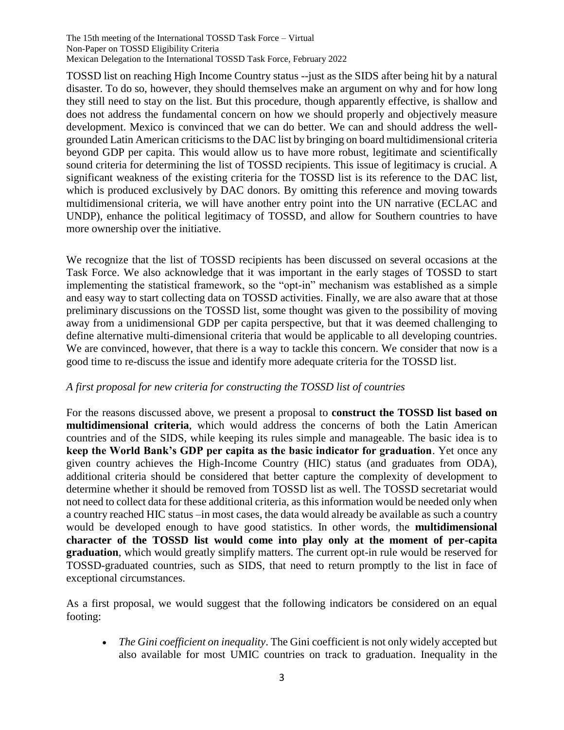The 15th meeting of the International TOSSD Task Force – Virtual Non-Paper on TOSSD Eligibility Criteria Mexican Delegation to the International TOSSD Task Force, February 2022

TOSSD list on reaching High Income Country status --just as the SIDS after being hit by a natural disaster. To do so, however, they should themselves make an argument on why and for how long they still need to stay on the list. But this procedure, though apparently effective, is shallow and does not address the fundamental concern on how we should properly and objectively measure development. Mexico is convinced that we can do better. We can and should address the wellgrounded Latin American criticisms to the DAC list by bringing on board multidimensional criteria beyond GDP per capita. This would allow us to have more robust, legitimate and scientifically sound criteria for determining the list of TOSSD recipients. This issue of legitimacy is crucial. A significant weakness of the existing criteria for the TOSSD list is its reference to the DAC list, which is produced exclusively by DAC donors. By omitting this reference and moving towards multidimensional criteria, we will have another entry point into the UN narrative (ECLAC and UNDP), enhance the political legitimacy of TOSSD, and allow for Southern countries to have more ownership over the initiative.

We recognize that the list of TOSSD recipients has been discussed on several occasions at the Task Force. We also acknowledge that it was important in the early stages of TOSSD to start implementing the statistical framework, so the "opt-in" mechanism was established as a simple and easy way to start collecting data on TOSSD activities. Finally, we are also aware that at those preliminary discussions on the TOSSD list, some thought was given to the possibility of moving away from a unidimensional GDP per capita perspective, but that it was deemed challenging to define alternative multi-dimensional criteria that would be applicable to all developing countries. We are convinced, however, that there is a way to tackle this concern. We consider that now is a good time to re-discuss the issue and identify more adequate criteria for the TOSSD list.

## *A first proposal for new criteria for constructing the TOSSD list of countries*

For the reasons discussed above, we present a proposal to **construct the TOSSD list based on multidimensional criteria**, which would address the concerns of both the Latin American countries and of the SIDS, while keeping its rules simple and manageable. The basic idea is to **keep the World Bank's GDP per capita as the basic indicator for graduation**. Yet once any given country achieves the High-Income Country (HIC) status (and graduates from ODA), additional criteria should be considered that better capture the complexity of development to determine whether it should be removed from TOSSD list as well. The TOSSD secretariat would not need to collect data for these additional criteria, as this information would be needed only when a country reached HIC status –in most cases, the data would already be available as such a country would be developed enough to have good statistics. In other words, the **multidimensional character of the TOSSD list would come into play only at the moment of per-capita graduation**, which would greatly simplify matters. The current opt-in rule would be reserved for TOSSD-graduated countries, such as SIDS, that need to return promptly to the list in face of exceptional circumstances.

As a first proposal, we would suggest that the following indicators be considered on an equal footing:

 *The Gini coefficient on inequality*. The Gini coefficient is not only widely accepted but also available for most UMIC countries on track to graduation. Inequality in the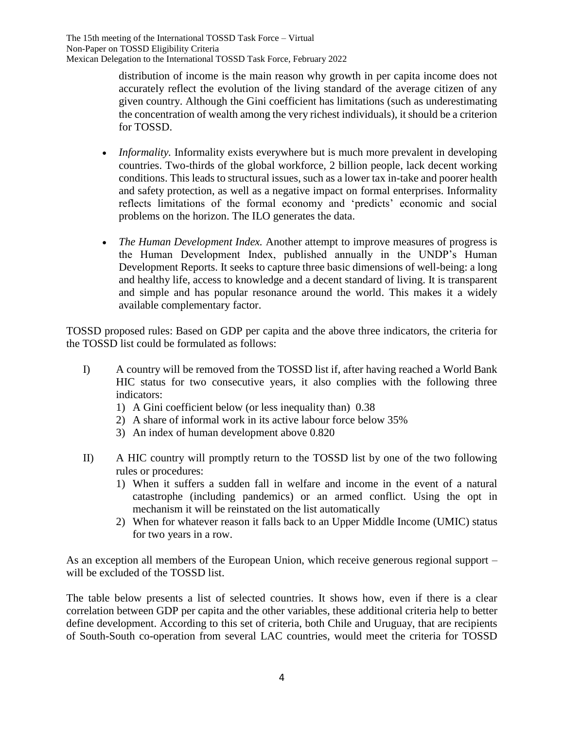distribution of income is the main reason why growth in per capita income does not accurately reflect the evolution of the living standard of the average citizen of any given country. Although the Gini coefficient has limitations (such as underestimating the concentration of wealth among the very richest individuals), it should be a criterion for TOSSD.

- *Informality.* Informality exists everywhere but is much more prevalent in developing countries. Two-thirds of the global workforce, 2 billion people, lack decent working conditions. This leads to structural issues, such as a lower tax in-take and poorer health and safety protection, as well as a negative impact on formal enterprises. Informality reflects limitations of the formal economy and 'predicts' economic and social problems on the horizon. The ILO generates the data.
- *The Human Development Index.* Another attempt to improve measures of progress is the Human Development Index, published annually in the UNDP's Human Development Reports. It seeks to capture three basic dimensions of well-being: a long and healthy life, access to knowledge and a decent standard of living. It is transparent and simple and has popular resonance around the world. This makes it a widely available complementary factor.

TOSSD proposed rules: Based on GDP per capita and the above three indicators, the criteria for the TOSSD list could be formulated as follows:

- I) A country will be removed from the TOSSD list if, after having reached a World Bank HIC status for two consecutive years, it also complies with the following three indicators:
	- 1) A Gini coefficient below (or less inequality than) 0.38
	- 2) A share of informal work in its active labour force below 35%
	- 3) An index of human development above 0.820
- II) A HIC country will promptly return to the TOSSD list by one of the two following rules or procedures:
	- 1) When it suffers a sudden fall in welfare and income in the event of a natural catastrophe (including pandemics) or an armed conflict. Using the opt in mechanism it will be reinstated on the list automatically
	- 2) When for whatever reason it falls back to an Upper Middle Income (UMIC) status for two years in a row.

As an exception all members of the European Union, which receive generous regional support – will be excluded of the TOSSD list.

The table below presents a list of selected countries. It shows how, even if there is a clear correlation between GDP per capita and the other variables, these additional criteria help to better define development. According to this set of criteria, both Chile and Uruguay, that are recipients of South-South co-operation from several LAC countries, would meet the criteria for TOSSD